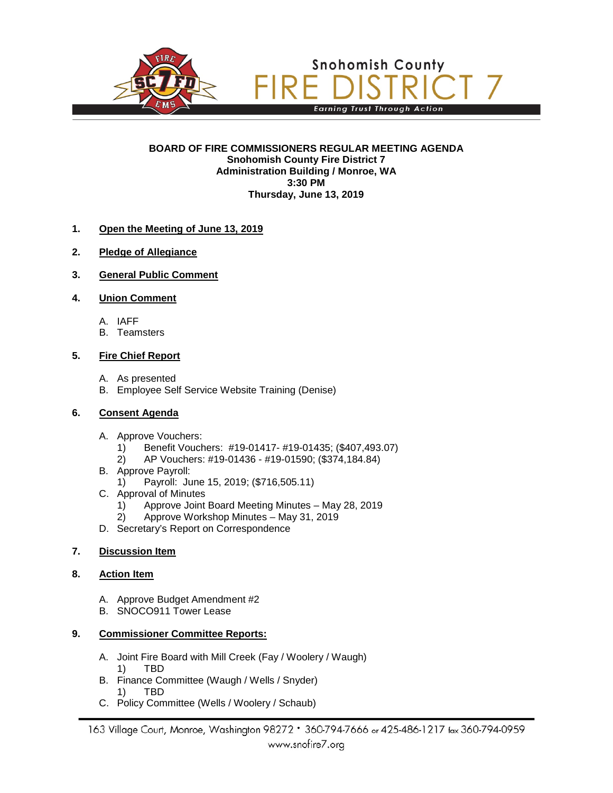

#### **BOARD OF FIRE COMMISSIONERS REGULAR MEETING AGENDA Snohomish County Fire District 7 Administration Building / Monroe, WA 3:30 PM Thursday, June 13, 2019**

### **1. Open the Meeting of June 13, 2019**

- **2. Pledge of Allegiance**
- **3. General Public Comment**

### **4. Union Comment**

- A. IAFF
- B. Teamsters

### **5. Fire Chief Report**

- A. As presented
- B. Employee Self Service Website Training (Denise)

### **6. Consent Agenda**

- A. Approve Vouchers:
	- 1) Benefit Vouchers: #19-01417- #19-01435; (\$407,493.07)
	- 2) AP Vouchers: #19-01436 #19-01590; (\$374,184.84)
- B. Approve Payroll:
	- 1) Payroll: June 15, 2019; (\$716,505.11)
- C. Approval of Minutes
	- 1) Approve Joint Board Meeting Minutes May 28, 2019
	- 2) Approve Workshop Minutes May 31, 2019
- D. Secretary's Report on Correspondence

### **7. Discussion Item**

### **8. Action Item**

- A. Approve Budget Amendment #2
- B. SNOCO911 Tower Lease

### **9. Commissioner Committee Reports:**

- A. Joint Fire Board with Mill Creek (Fay / Woolery / Waugh)
	- 1) TBD
- B. Finance Committee (Waugh / Wells / Snyder) 1) TBD
- C. Policy Committee (Wells / Woolery / Schaub)